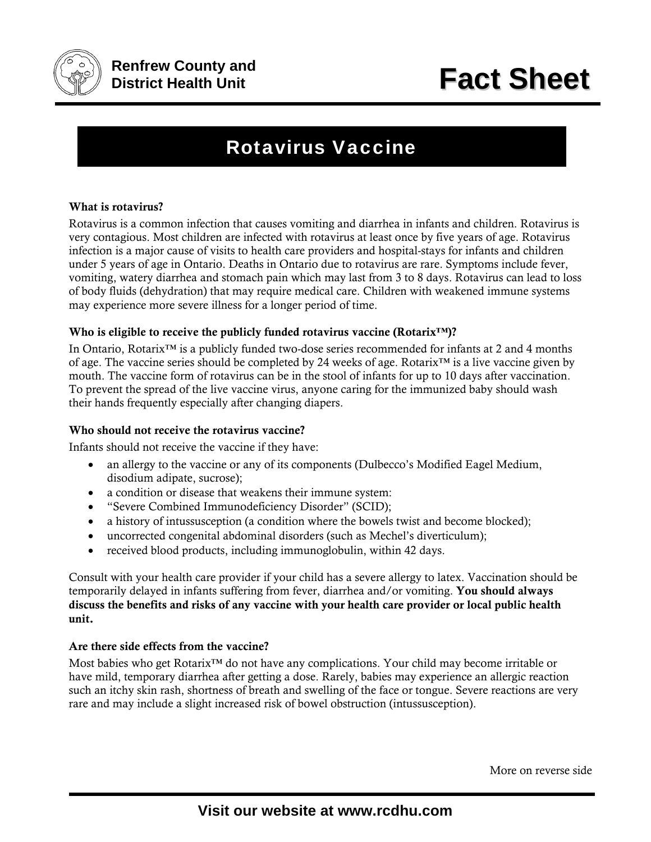

# Rotavirus Vaccine

### What is rotavirus?

Rotavirus is a common infection that causes vomiting and diarrhea in infants and children. Rotavirus is very contagious. Most children are infected with rotavirus at least once by five years of age. Rotavirus infection is a major cause of visits to health care providers and hospital-stays for infants and children under 5 years of age in Ontario. Deaths in Ontario due to rotavirus are rare. Symptoms include fever, vomiting, watery diarrhea and stomach pain which may last from 3 to 8 days. Rotavirus can lead to loss of body fluids (dehydration) that may require medical care. Children with weakened immune systems may experience more severe illness for a longer period of time.

#### Who is eligible to receive the publicly funded rotavirus vaccine (Rotarix™)?

In Ontario, Rotarix™ is a publicly funded two-dose series recommended for infants at 2 and 4 months of age. The vaccine series should be completed by 24 weeks of age. Rotarix™ is a live vaccine given by mouth. The vaccine form of rotavirus can be in the stool of infants for up to 10 days after vaccination. To prevent the spread of the live vaccine virus, anyone caring for the immunized baby should wash their hands frequently especially after changing diapers.

#### Who should not receive the rotavirus vaccine?

Infants should not receive the vaccine if they have:

- an allergy to the vaccine or any of its components (Dulbecco's Modified Eagel Medium, disodium adipate, sucrose);
- a condition or disease that weakens their immune system:
- "Severe Combined Immunodeficiency Disorder" (SCID);
- a history of intussusception (a condition where the bowels twist and become blocked);
- uncorrected congenital abdominal disorders (such as Mechel's diverticulum);
- received blood products, including immunoglobulin, within 42 days.

Consult with your health care provider if your child has a severe allergy to latex. Vaccination should be temporarily delayed in infants suffering from fever, diarrhea and/or vomiting. You should always discuss the benefits and risks of any vaccine with your health care provider or local public health unit.

#### Are there side effects from the vaccine?

Most babies who get Rotarix™ do not have any complications. Your child may become irritable or have mild, temporary diarrhea after getting a dose. Rarely, babies may experience an allergic reaction such an itchy skin rash, shortness of breath and swelling of the face or tongue. Severe reactions are very rare and may include a slight increased risk of bowel obstruction (intussusception).

More on reverse side